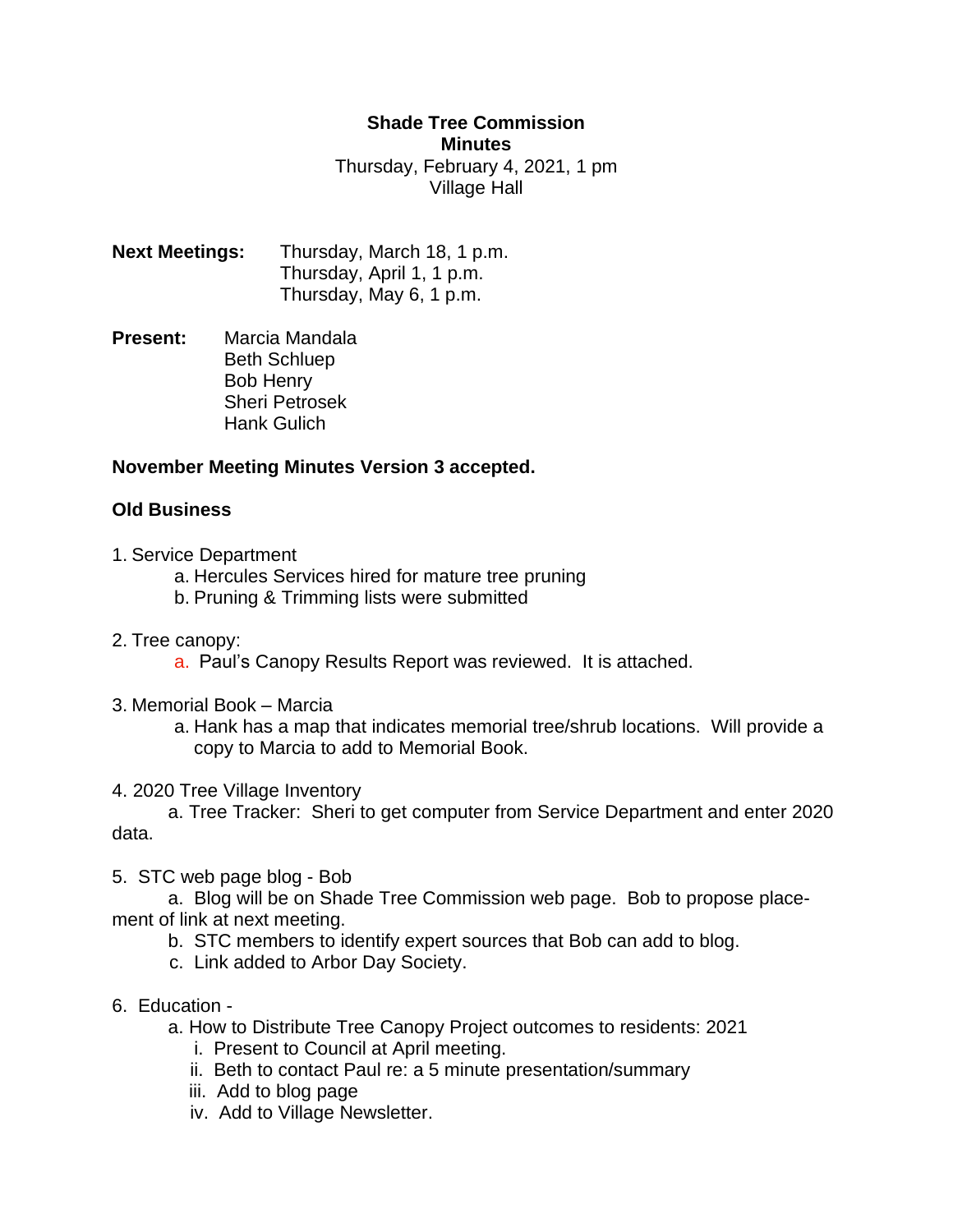## **Shade Tree Commission Minutes**

Thursday, February 4, 2021, 1 pm Village Hall

**Next Meetings:** Thursday, March 18, 1 p.m. Thursday, April 1, 1 p.m. Thursday, May 6, 1 p.m.

**Present:** Marcia Mandala Beth Schluep Bob Henry Sheri Petrosek Hank Gulich

## **November Meeting Minutes Version 3 accepted.**

## **Old Business**

- 1. Service Department
	- a. Hercules Services hired for mature tree pruning
	- b. Pruning & Trimming lists were submitted
- 2. Tree canopy:
	- a. Paul's Canopy Results Report was reviewed. It is attached.
- 3. Memorial Book Marcia
	- a. Hank has a map that indicates memorial tree/shrub locations. Will provide a copy to Marcia to add to Memorial Book.
- 4. 2020 Tree Village Inventory

a. Tree Tracker: Sheri to get computer from Service Department and enter 2020 data.

5. STC web page blog - Bob

a. Blog will be on Shade Tree Commission web page. Bob to propose placement of link at next meeting.

- b. STC members to identify expert sources that Bob can add to blog.
- c. Link added to Arbor Day Society.
- 6. Education
	- a. How to Distribute Tree Canopy Project outcomes to residents: 2021
		- i. Present to Council at April meeting.
		- ii. Beth to contact Paul re: a 5 minute presentation/summary
		- iii. Add to blog page
		- iv. Add to Village Newsletter.